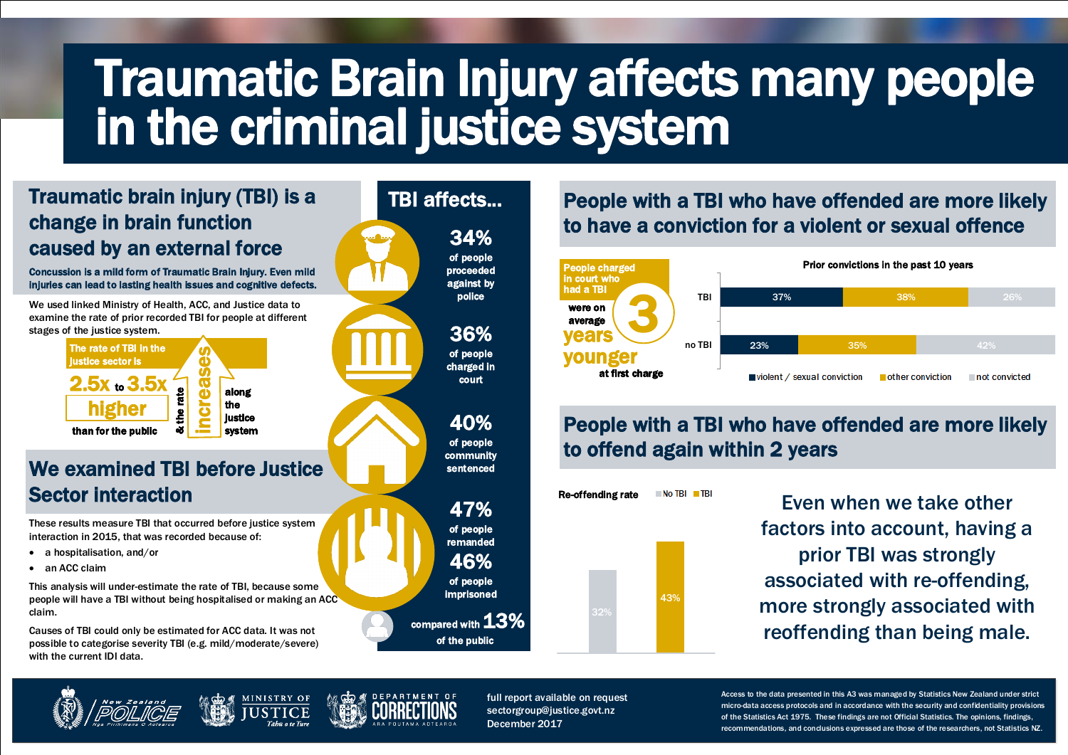## We examined TBI before Justice Sector interaction

These results measure TBI that occurred before justice system interaction in 2015, that was recorded because of:

- a hospitalisation, and/or
- an ACC claim

This analysis will under-estimate the rate of TBI, because some people will have a TBI without being hospitalised or making an ACC claim.

Causes of TBI could only be estimated for ACC data. It was not possible to categorise severity TBI (e.g. mild/moderate/severe) with the current IDI data.









 associated with re-offending, more strongly associated with Even when we take other factors into account, having a prior TBI was strongly reoffending than being male.

### compared with 13% of the public

### Concussion is a mild form of Traumatic Brain Injury. Even mild injuries can lead to lasting health issues and cognitive defects. We used linked Ministry of Health, ACC, and Justice data to examine the rate of prior recorded TBI for people at different stages of the justice system. Traumatic brain injury (TBI) is a change in brain function caused by an external force

People with a TBI who have offended are more likely to offend again within 2 years

| 37%                                                                                                     |  | 38% |  |  | 26% |
|---------------------------------------------------------------------------------------------------------|--|-----|--|--|-----|
|                                                                                                         |  |     |  |  |     |
| 23%                                                                                                     |  | 35% |  |  | 42% |
| $\blacksquare$ violent / sexual conviction $\blacksquare$ other conviction $\blacksquare$ not convicted |  |     |  |  |     |

### Prior convictions in the past 10 years

## People with a TBI who have offended are more likely to have a conviction for a violent or sexual offence







# Traumatic Brain Injury affects many people in the criminal justice system

full report available on request sectorgroup@justice.govt.nz December 2017

Access to the data presented in this A3 was managed by Statistics New Zealand under strict micro-data access protocols and in accordance with the security and confidentiality provisions of the Statistics Act 1975. These findings are not Official Statistics. The opinions, findings, recommendations, and conclusions expressed are those of the researchers, not Statistics NZ.